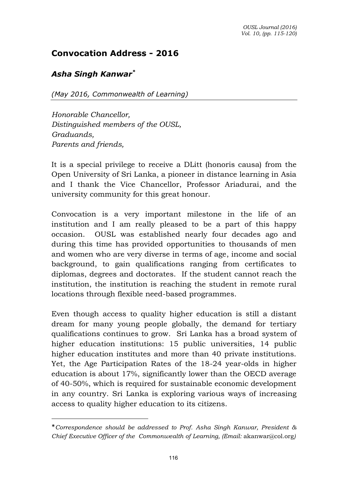## **Convocation Address - 2016**

## *Asha Singh Kanwar\**

 $\overline{a}$ 

*(May 2016, Commonwealth of Learning)* 

*Honorable Chancellor, Distinguished members of the OUSL, Graduands, Parents and friends,* 

It is a special privilege to receive a DLitt (honoris causa) from the Open University of Sri Lanka, a pioneer in distance learning in Asia and I thank the Vice Chancellor, Professor Ariadurai, and the university community for this great honour.

Convocation is a very important milestone in the life of an institution and I am really pleased to be a part of this happy occasion. OUSL was established nearly four decades ago and during this time has provided opportunities to thousands of men and women who are very diverse in terms of age, income and social background, to gain qualifications ranging from certificates to diplomas, degrees and doctorates. If the student cannot reach the institution, the institution is reaching the student in remote rural locations through flexible need-based programmes.

Even though access to quality higher education is still a distant dream for many young people globally, the demand for tertiary qualifications continues to grow. Sri Lanka has a broad system of higher education institutions: 15 public universities, 14 public higher education institutes and more than 40 private institutions. Yet, the Age Participation Rates of the 18-24 year-olds in higher education is about 17%, significantly lower than the OECD average of 40-50%, which is required for sustainable economic development in any country. Sri Lanka is exploring various ways of increasing access to quality higher education to its citizens.

<sup>\*</sup>*Correspondence should be addressed to Prof. Asha Singh Kanwar, President & Chief Executive Officer of the Commonwealth of Learning, (Email:* [akanwar@col.org](mailto:akanwar@col.org)*)*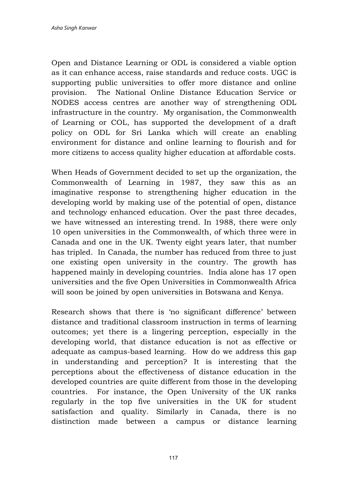Open and Distance Learning or ODL is considered a viable option as it can enhance access, raise standards and reduce costs. UGC is supporting public universities to offer more distance and online provision. The National Online Distance Education Service or NODES access centres are another way of strengthening ODL infrastructure in the country. My organisation, the Commonwealth of Learning or COL, has supported the development of a draft policy on ODL for Sri Lanka which will create an enabling environment for distance and online learning to flourish and for more citizens to access quality higher education at affordable costs.

When Heads of Government decided to set up the organization, the Commonwealth of Learning in 1987, they saw this as an imaginative response to strengthening higher education in the developing world by making use of the potential of open, distance and technology enhanced education. Over the past three decades, we have witnessed an interesting trend. In 1988, there were only 10 open universities in the Commonwealth, of which three were in Canada and one in the UK. Twenty eight years later, that number has tripled. In Canada, the number has reduced from three to just one existing open university in the country. The growth has happened mainly in developing countries. India alone has 17 open universities and the five Open Universities in Commonwealth Africa will soon be joined by open universities in Botswana and Kenya.

Research shows that there is 'no significant difference' between distance and traditional classroom instruction in terms of learning outcomes; yet there is a lingering perception, especially in the developing world, that distance education is not as effective or adequate as campus-based learning. How do we address this gap in understanding and perception? It is interesting that the perceptions about the effectiveness of distance education in the developed countries are quite different from those in the developing countries. For instance, the Open University of the UK ranks regularly in the top five universities in the UK for student satisfaction and quality. Similarly in Canada, there is no distinction made between a campus or distance learning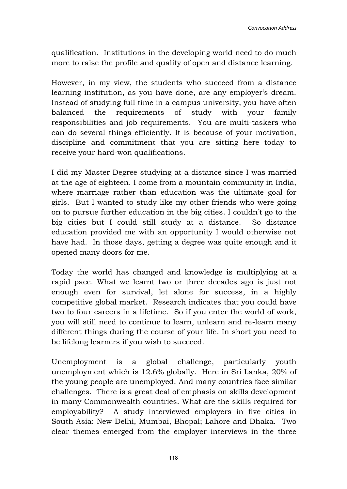qualification. Institutions in the developing world need to do much more to raise the profile and quality of open and distance learning.

However, in my view, the students who succeed from a distance learning institution, as you have done, are any employer's dream. Instead of studying full time in a campus university, you have often balanced the requirements of study with your family responsibilities and job requirements. You are multi-taskers who can do several things efficiently. It is because of your motivation, discipline and commitment that you are sitting here today to receive your hard-won qualifications.

I did my Master Degree studying at a distance since I was married at the age of eighteen. I come from a mountain community in India, where marriage rather than education was the ultimate goal for girls. But I wanted to study like my other friends who were going on to pursue further education in the big cities. I couldn't go to the big cities but I could still study at a distance. So distance education provided me with an opportunity I would otherwise not have had. In those days, getting a degree was quite enough and it opened many doors for me.

Today the world has changed and knowledge is multiplying at a rapid pace. What we learnt two or three decades ago is just not enough even for survival, let alone for success, in a highly competitive global market. Research indicates that you could have two to four careers in a lifetime. So if you enter the world of work, you will still need to continue to learn, unlearn and re-learn many different things during the course of your life. In short you need to be lifelong learners if you wish to succeed.

Unemployment is a global challenge, particularly youth unemployment which is 12.6% globally. Here in Sri Lanka, 20% of the young people are unemployed. And many countries face similar challenges. There is a great deal of emphasis on skills development in many Commonwealth countries. What are the skills required for employability? A study interviewed employers in five cities in South Asia: New Delhi, Mumbai, Bhopal; Lahore and Dhaka. Two clear themes emerged from the employer interviews in the three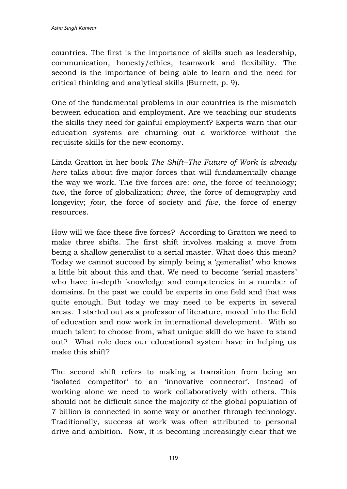countries. The first is the importance of skills such as leadership, communication, honesty/ethics, teamwork and flexibility. The second is the importance of being able to learn and the need for critical thinking and analytical skills (Burnett, p. 9).

One of the fundamental problems in our countries is the mismatch between education and employment. Are we teaching our students the skills they need for gainful employment? Experts warn that our education systems are churning out a workforce without the requisite skills for the new economy.

Linda Gratton in her book *The Shift--The Future of Work is already here* talks about five major forces that will fundamentally change the way we work. The five forces are: *one*, the force of technology; *two*, the force of globalization; *three*, the force of demography and longevity; *four*, the force of society and *five*, the force of energy resources.

How will we face these five forces? According to Gratton we need to make three shifts. The first shift involves making a move from being a shallow generalist to a serial master. What does this mean? Today we cannot succeed by simply being a 'generalist' who knows a little bit about this and that. We need to become 'serial masters' who have in-depth knowledge and competencies in a number of domains. In the past we could be experts in one field and that was quite enough. But today we may need to be experts in several areas. I started out as a professor of literature, moved into the field of education and now work in international development. With so much talent to choose from, what unique skill do we have to stand out? What role does our educational system have in helping us make this shift?

The second shift refers to making a transition from being an 'isolated competitor' to an 'innovative connector'. Instead of working alone we need to work collaboratively with others. This should not be difficult since the majority of the global population of 7 billion is connected in some way or another through technology. Traditionally, success at work was often attributed to personal drive and ambition. Now, it is becoming increasingly clear that we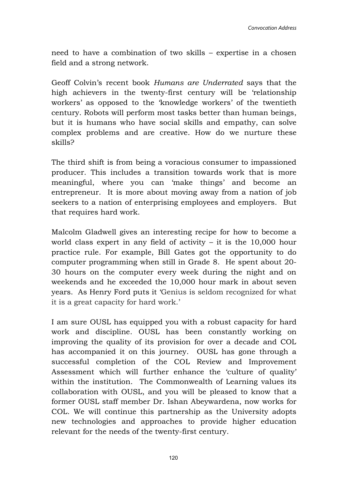need to have a combination of two skills – expertise in a chosen field and a strong network.

Geoff Colvin's recent book *Humans are Underrated* says that the high achievers in the twenty-first century will be 'relationship workers' as opposed to the 'knowledge workers' of the twentieth century. Robots will perform most tasks better than human beings, but it is humans who have social skills and empathy, can solve complex problems and are creative. How do we nurture these skills?

The third shift is from being a voracious consumer to impassioned producer. This includes a transition towards work that is more meaningful, where you can 'make things' and become an entrepreneur. It is more about moving away from a nation of job seekers to a nation of enterprising employees and employers. But that requires hard work.

Malcolm Gladwell gives an interesting recipe for how to become a world class expert in any field of activity – it is the 10,000 hour practice rule. For example, Bill Gates got the opportunity to do computer programming when still in Grade 8. He spent about 20- 30 hours on the computer every week during the night and on weekends and he exceeded the 10,000 hour mark in about seven years. As Henry Ford puts it 'Genius is seldom recognized for what it is a great capacity for hard work.'

I am sure OUSL has equipped you with a robust capacity for hard work and discipline. OUSL has been constantly working on improving the quality of its provision for over a decade and COL has accompanied it on this journey. OUSL has gone through a successful completion of the COL Review and Improvement Assessment which will further enhance the 'culture of quality' within the institution. The Commonwealth of Learning values its collaboration with OUSL, and you will be pleased to know that a former OUSL staff member Dr. Ishan Abeywardena, now works for COL. We will continue this partnership as the University adopts new technologies and approaches to provide higher education relevant for the needs of the twenty-first century.